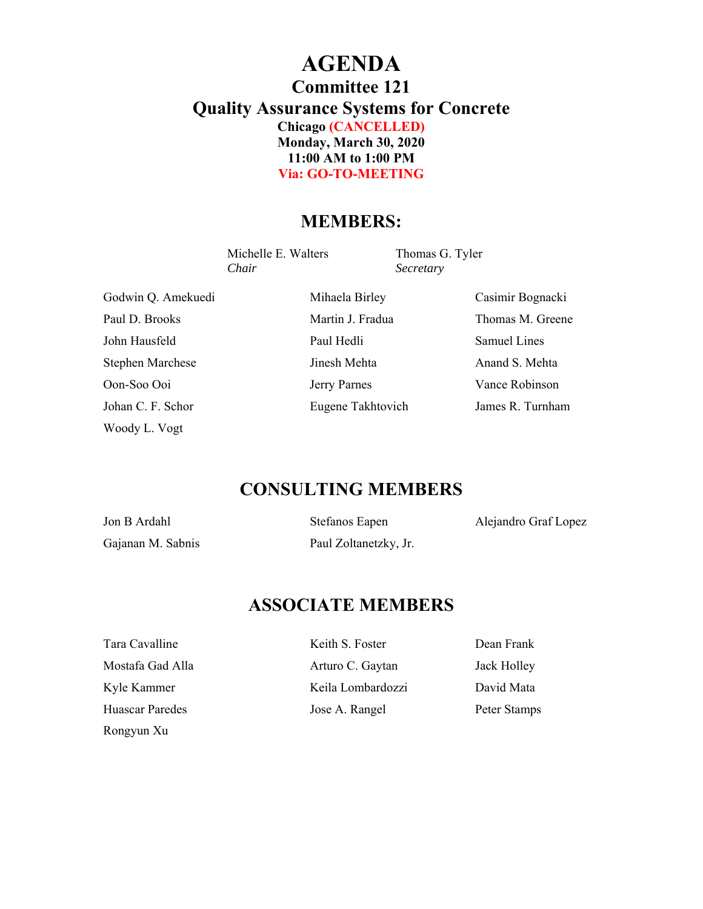## **AGENDA Committee 121 Quality Assurance Systems for Concrete Chicago (CANCELLED) Monday, March 30, 2020 11:00 AM to 1:00 PM Via: GO-TO-MEETING**

### **MEMBERS:**

Michelle E. Walters Thomas G. Tyler *Chair Secretary* 

Paul D. Brooks **Martin J. Fradua** Thomas M. Greene John Hausfeld Paul Hedli Samuel Lines Stephen Marchese **Iinesh Mehta** Anand S. Mehta Oon-Soo Ooi Jerry Parnes Vance Robinson Johan C. F. Schor Eugene Takhtovich James R. Turnham Woody L. Vogt

Godwin Q. Amekuedi Mihaela Birley Casimir Bognacki

## **CONSULTING MEMBERS**

| Jon B Ardahl      | <b>Stefanos Eapen</b> | Alejandro Graf Lopez |
|-------------------|-----------------------|----------------------|
| Gajanan M. Sabnis | Paul Zoltanetzky, Jr. |                      |

## **ASSOCIATE MEMBERS**

Rongyun Xu

Tara Cavalline **Keith S. Foster** Dean Frank Mostafa Gad Alla Arturo C. Gaytan Jack Holley Kyle Kammer **Keila Lombardozzi** David Mata Huascar Paredes **Iose A. Rangel** Peter Stamps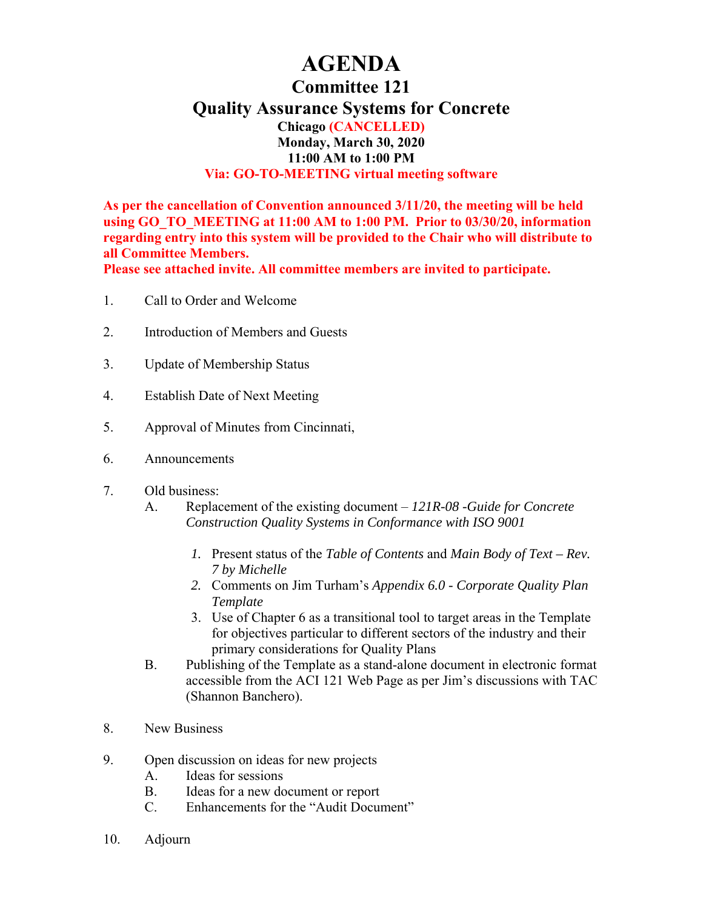# **AGENDA**

### **Committee 121**

**Quality Assurance Systems for Concrete** 

**Chicago (CANCELLED) Monday, March 30, 2020 11:00 AM to 1:00 PM Via: GO-TO-MEETING virtual meeting software** 

**As per the cancellation of Convention announced 3/11/20, the meeting will be held using GO\_TO\_MEETING at 11:00 AM to 1:00 PM. Prior to 03/30/20, information regarding entry into this system will be provided to the Chair who will distribute to all Committee Members.** 

**Please see attached invite. All committee members are invited to participate.** 

- 1. Call to Order and Welcome
- 2. Introduction of Members and Guests
- 3. Update of Membership Status
- 4. Establish Date of Next Meeting
- 5. Approval of Minutes from Cincinnati,
- 6. Announcements
- 7. Old business:
	- A. Replacement of the existing document *121R-08 -Guide for Concrete Construction Quality Systems in Conformance with ISO 9001*
		- *1.* Present status of the *Table of Contents* and *Main Body of Text Rev. 7 by Michelle*
		- *2.* Comments on Jim Turham's *Appendix 6.0 Corporate Quality Plan Template*
		- 3. Use of Chapter 6 as a transitional tool to target areas in the Template for objectives particular to different sectors of the industry and their primary considerations for Quality Plans
	- B. Publishing of the Template as a stand-alone document in electronic format accessible from the ACI 121 Web Page as per Jim's discussions with TAC (Shannon Banchero).
- 8. New Business
- 9. Open discussion on ideas for new projects
	- A. Ideas for sessions
	- B. Ideas for a new document or report
	- C. Enhancements for the "Audit Document"
- 10. Adjourn